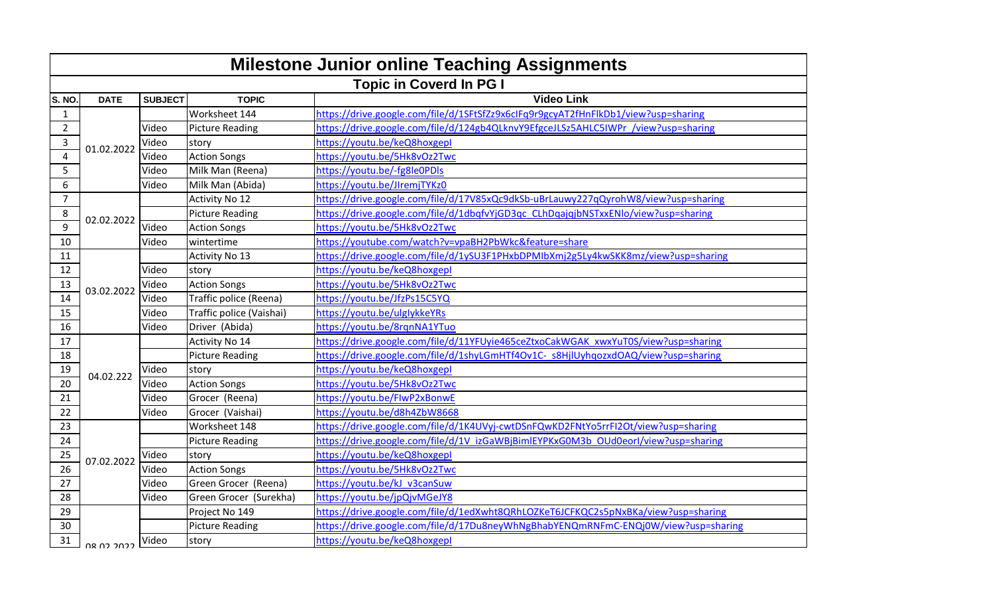| <b>Milestone Junior online Teaching Assignments</b> |                                |                |                          |                                                                                    |  |  |
|-----------------------------------------------------|--------------------------------|----------------|--------------------------|------------------------------------------------------------------------------------|--|--|
|                                                     | <b>Topic in Coverd In PG I</b> |                |                          |                                                                                    |  |  |
| S. NO.                                              | <b>DATE</b>                    | <b>SUBJECT</b> | <b>TOPIC</b>             | <b>Video Link</b>                                                                  |  |  |
| $\mathbf{1}$                                        |                                |                | Worksheet 144            | https://drive.google.com/file/d/1SFtSfZz9x6cIFq9r9gcyAT2fHnFlkDb1/view?usp=sharing |  |  |
| $\overline{2}$                                      |                                | Video          | Picture Reading          | https://drive.google.com/file/d/124gb4QLknvY9EfgceJLSz5AHLC5IWPr /view?usp=sharing |  |  |
| 3                                                   | 01.02.2022                     | Video          | story                    | https://youtu.be/keQ8hoxgepl                                                       |  |  |
| 4                                                   |                                | Video          | <b>Action Songs</b>      | https://youtu.be/5Hk8vOz2Twc                                                       |  |  |
| 5                                                   |                                | Video          | Milk Man (Reena)         | https://youtu.be/-fg8le0PDls                                                       |  |  |
| 6                                                   |                                | Video          | Milk Man (Abida)         | https://youtu.be/JIremjTYKz0                                                       |  |  |
| $\overline{7}$                                      |                                |                | <b>Activity No 12</b>    | https://drive.google.com/file/d/17V85xQc9dkSb-uBrLauwy227qQyrohW8/view?usp=sharing |  |  |
| 8                                                   | 02.02.2022                     |                | <b>Picture Reading</b>   | https://drive.google.com/file/d/1dbqfvYjGD3qc CLhDqajqjbNSTxxENlo/view?usp=sharing |  |  |
| 9                                                   |                                | Video          | <b>Action Songs</b>      | https://youtu.be/5Hk8vOz2Twc                                                       |  |  |
| 10                                                  |                                | Video          | wintertime               | https://youtube.com/watch?v=vpaBH2PbWkc&feature=share                              |  |  |
| 11                                                  |                                |                | Activity No 13           | https://drive.google.com/file/d/1ySU3F1PHxbDPMIbXmj2g5Ly4kwSKK8mz/view?usp=sharing |  |  |
| 12                                                  |                                | Video          | story                    | https://youtu.be/keQ8hoxgepl                                                       |  |  |
| 13                                                  | 03.02.2022                     | Video          | <b>Action Songs</b>      | https://youtu.be/5Hk8vOz2Twc                                                       |  |  |
| 14                                                  |                                | Video          | Traffic police (Reena)   | https://youtu.be/JfzPs15C5YQ                                                       |  |  |
| 15                                                  |                                | Video          | Traffic police (Vaishai) | https://youtu.be/ulglykkeYRs                                                       |  |  |
| 16                                                  |                                | Video          | Driver (Abida)           | https://youtu.be/8rgnNA1YTuo                                                       |  |  |
| 17                                                  |                                |                | Activity No 14           | https://drive.google.com/file/d/11YFUyie465ceZtxoCakWGAK_xwxYuT0S/view?usp=sharing |  |  |
| 18                                                  |                                |                | <b>Picture Reading</b>   | https://drive.google.com/file/d/1shyLGmHTf4Ov1C-s8HjlUyhqozxdOAQ/view?usp=sharing  |  |  |
| 19                                                  | 04.02.222                      | Video          | story                    | https://youtu.be/keQ8hoxgepl                                                       |  |  |
| 20                                                  |                                | Video          | <b>Action Songs</b>      | https://youtu.be/5Hk8vOz2Twc                                                       |  |  |
| 21                                                  |                                | Video          | Grocer (Reena)           | https://youtu.be/FlwP2xBonwE                                                       |  |  |
| 22                                                  |                                | Video          | Grocer (Vaishai)         | https://youtu.be/d8h4ZbW8668                                                       |  |  |
| 23                                                  |                                |                | Worksheet 148            | https://drive.google.com/file/d/1K4UVyj-cwtDSnFQwKD2FNtYo5rrFI2Ot/view?usp=sharing |  |  |
| 24                                                  |                                |                | <b>Picture Reading</b>   | https://drive.google.com/file/d/1V_izGaWBjBimlEYPKxG0M3b_OUd0eorl/view?usp=sharing |  |  |
| 25                                                  | 07.02.2022                     | Video          | story                    | https://youtu.be/keQ8hoxgepl                                                       |  |  |
| 26                                                  |                                | Video          | <b>Action Songs</b>      | https://youtu.be/5Hk8vOz2Twc                                                       |  |  |
| 27                                                  |                                | Video          | Green Grocer (Reena)     | https://youtu.be/kJ v3canSuw                                                       |  |  |
| 28                                                  |                                | Video          | Green Grocer (Surekha)   | https://youtu.be/jpQjvMGeJY8                                                       |  |  |
| 29                                                  |                                |                | Project No 149           | https://drive.google.com/file/d/1edXwht8QRhLOZKeT6JCFKQC2s5pNxBKa/view?usp=sharing |  |  |
| 30                                                  |                                |                | <b>Picture Reading</b>   | https://drive.google.com/file/d/17Du8neyWhNgBhabYENQmRNFmC-ENQj0W/view?usp=sharing |  |  |
| 31                                                  | ררחר רח מח                     | Video          | story                    | https://youtu.be/keQ8hoxgepl                                                       |  |  |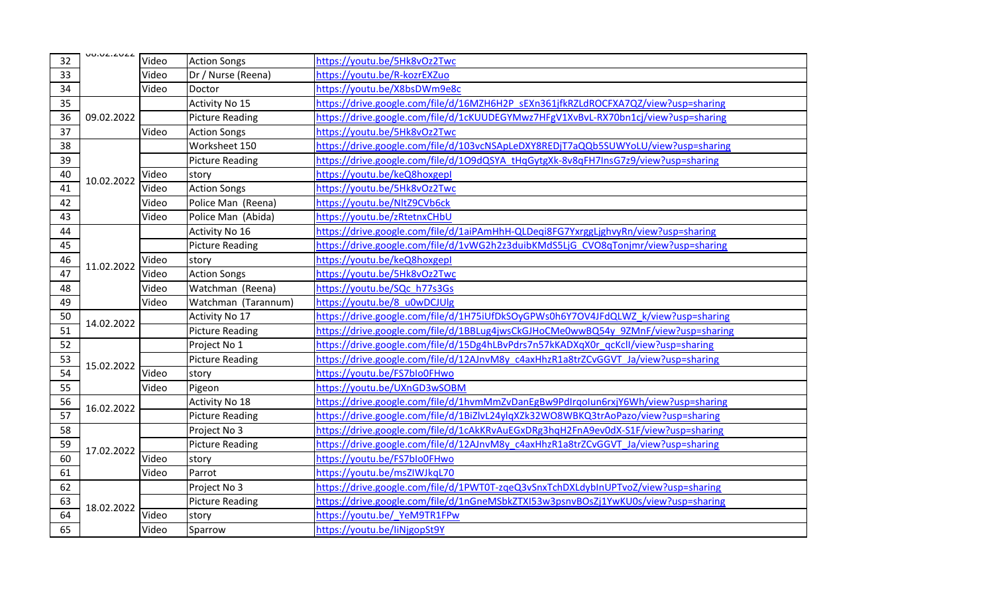| 32              | <b>UO.UZ.ZUZZ</b> | Video | <b>Action Songs</b>    | https://youtu.be/5Hk8vOz2Twc                                                       |
|-----------------|-------------------|-------|------------------------|------------------------------------------------------------------------------------|
| 33              |                   | Video | Dr / Nurse (Reena)     | https://youtu.be/R-kozrEXZuo                                                       |
| 34              |                   | Video | Doctor                 | https://youtu.be/X8bsDWm9e8c                                                       |
| 35              | 09.02.2022        |       | Activity No 15         | https://drive.google.com/file/d/16MZH6H2P_sEXn361jfkRZLdROCFXA7QZ/view?usp=sharing |
| 36              |                   |       | <b>Picture Reading</b> | https://drive.google.com/file/d/1cKUUDEGYMwz7HFgV1XvBvL-RX70bn1cj/view?usp=sharing |
| 37              |                   | Video | <b>Action Songs</b>    | https://youtu.be/5Hk8vOz2Twc                                                       |
| 38              |                   |       | Worksheet 150          | https://drive.google.com/file/d/103vcNSApLeDXY8REDjT7aQQb5SUWYoLU/view?usp=sharing |
| 39              | 10.02.2022        |       | <b>Picture Reading</b> | https://drive.google.com/file/d/1O9dQSYA_tHqGytgXk-8v8qFH7InsG7z9/view?usp=sharing |
| 40              |                   | Video | story                  | https://youtu.be/keQ8hoxgepl                                                       |
| 41              |                   | Video | <b>Action Songs</b>    | https://youtu.be/5Hk8vOz2Twc                                                       |
| 42              |                   | Video | Police Man (Reena)     | https://youtu.be/NltZ9CVb6ck                                                       |
| 43              |                   | Video | Police Man (Abida)     | https://youtu.be/zRtetnxCHbU                                                       |
| 44              |                   |       | Activity No 16         | https://drive.google.com/file/d/1aiPAmHhH-QLDeqi8FG7YxrggLjghvyRn/view?usp=sharing |
| 45              |                   |       | <b>Picture Reading</b> | https://drive.google.com/file/d/1vWG2h2z3duibKMdS5LjG CVO8qTonjmr/view?usp=sharing |
| 46              | 11.02.2022        | Video | story                  | https://voutu.be/keQ8hoxgepl                                                       |
| 47              |                   | Video | <b>Action Songs</b>    | https://youtu.be/5Hk8vOz2Twc                                                       |
| 48              |                   | Video | Watchman (Reena)       | https://youtu.be/SQc h77s3Gs                                                       |
| 49              |                   | Video | Watchman (Tarannum)    | https://youtu.be/8_u0wDCJUlg                                                       |
| 50              | 14.02.2022        |       | <b>Activity No 17</b>  | https://drive.google.com/file/d/1H75iUfDkSOyGPWs0h6Y7OV4JFdQLWZ k/view?usp=sharing |
| 51              |                   |       | <b>Picture Reading</b> | https://drive.google.com/file/d/1BBLug4jwsCkGJHoCMe0wwBQ54y 9ZMnF/view?usp=sharing |
| 52              |                   |       | Project No 1           | https://drive.google.com/file/d/15Dg4hLBvPdrs7n57kKADXqX0r qcKcll/view?usp=sharing |
| 53              | 15.02.2022        |       | <b>Picture Reading</b> | https://drive.google.com/file/d/12AJnvM8y_c4axHhzR1a8trZCvGGVT_Ja/view?usp=sharing |
| 54              |                   | Video | story                  | https://youtu.be/FS7blo0FHwo                                                       |
| 55              |                   | Video | Pigeon                 | https://youtu.be/UXnGD3wSOBM                                                       |
| 56              |                   |       | Activity No 18         | https://drive.google.com/file/d/1hvmMmZvDanEgBw9PdIrqoIun6rxjY6Wh/view?usp=sharing |
| $\overline{57}$ | 16.02.2022        |       | <b>Picture Reading</b> | https://drive.google.com/file/d/1BiZlvL24ylqXZk32WO8WBKQ3trAoPazo/view?usp=sharing |
| 58              |                   |       | Project No 3           | https://drive.google.com/file/d/1cAkKRvAuEGxDRg3hqH2FnA9ev0dX-S1F/view?usp=sharing |
| 59              | 17.02.2022        |       | <b>Picture Reading</b> | https://drive.google.com/file/d/12AJnvM8y_c4axHhzR1a8trZCvGGVT_Ja/view?usp=sharing |
| 60              |                   | Video | story                  | https://youtu.be/FS7blo0FHwo                                                       |
| 61              |                   | Video | Parrot                 | https://youtu.be/msZIWJkqL70                                                       |
| 62              | 18.02.2022        |       | Project No 3           | https://drive.google.com/file/d/1PWT0T-zqeQ3vSnxTchDXLdybInUPTvoZ/view?usp=sharing |
| 63              |                   |       | <b>Picture Reading</b> | https://drive.google.com/file/d/1nGneMSbkZTXI53w3psnvBOsZj1YwKU0s/view?usp=sharing |
| 64              |                   | Video | story                  | https://youtu.be/ YeM9TR1FPw                                                       |
| 65              |                   | Video | Sparrow                | https://youtu.be/liNjgopSt9Y                                                       |